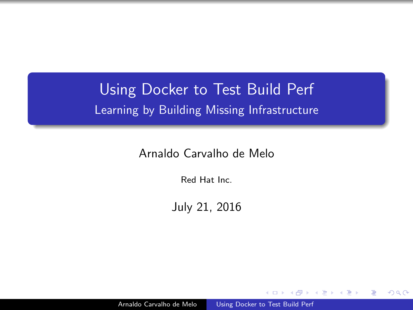## <span id="page-0-0"></span>Using Docker to Test Build Perf Learning by Building Missing Infrastructure

Arnaldo Carvalho de Melo

Red Hat Inc.

July 21, 2016

Arnaldo Carvalho de Melo [Using Docker to Test Build Perf](#page-0-0)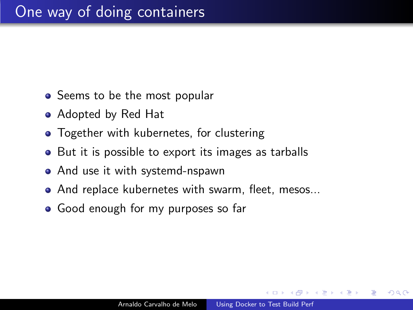- Seems to be the most popular
- Adopted by Red Hat
- **•** Together with kubernetes, for clustering
- But it is possible to export its images as tarballs
- And use it with systemd-nspawn
- And replace kubernetes with swarm, fleet, mesos...
- Good enough for my purposes so far

つくい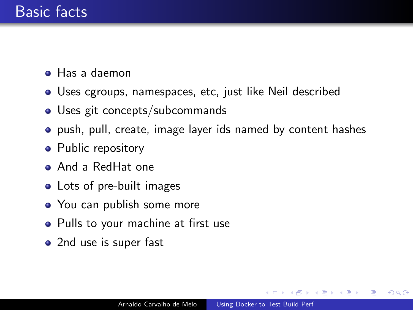- Has a daemon
- Uses cgroups, namespaces, etc, just like Neil described
- Uses git concepts/subcommands
- push, pull, create, image layer ids named by content hashes
- Public repository
- And a RedHat one
- Lots of pre-built images
- You can publish some more
- Pulls to your machine at first use
- 2nd use is super fast

 $QQ$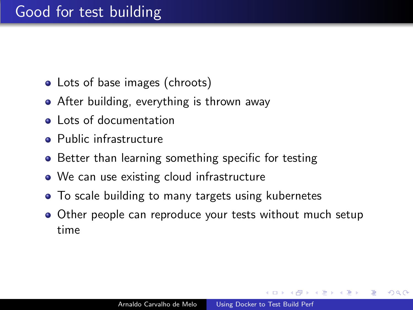## Good for test building

- Lots of base images (chroots)
- **•** After building, everything is thrown away
- **a** Lots of documentation
- **Public infrastructure**
- Better than learning something specific for testing
- We can use existing cloud infrastructure
- To scale building to many targets using kubernetes
- Other people can reproduce your tests without much setup time

つくい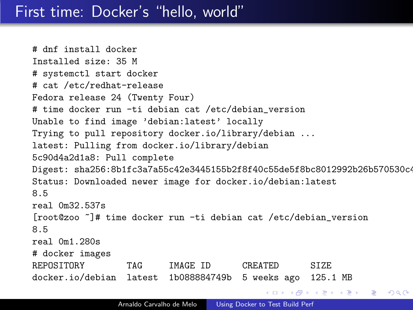#### First time: Docker's "hello, world"

# dnf install docker Installed size: 35 M # systemctl start docker # cat /etc/redhat-release Fedora release 24 (Twenty Four) # time docker run -ti debian cat /etc/debian\_version Unable to find image 'debian:latest' locally Trying to pull repository docker.io/library/debian ... latest: Pulling from docker.io/library/debian 5c90d4a2d1a8: Pull complete Digest: sha256:8b1fc3a7a55c42e3445155b2f8f40c55de5f8bc8012992b26b570530c4 Status: Downloaded newer image for docker.io/debian:latest 8.5 real 0m32.537s [root@zoo ~]# time docker run -ti debian cat /etc/debian\_version 8.5 real 0m1.280s # docker images REPOSITORY TAG IMAGE ID CREATED SIZE docker.io/debian latest 1b088884749b 5 weeks ago 125.1 MB イロン イ団ン イミン イミン  $299$ 重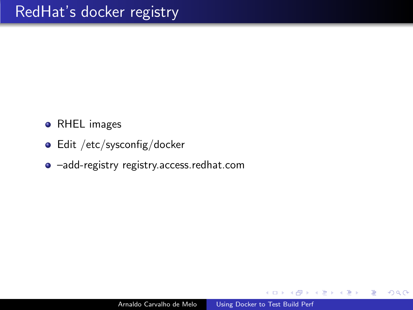- **•** RHEL images
- Edit /etc/sysconfig/docker
- –add-registry registry.access.redhat.com

つくへ

唐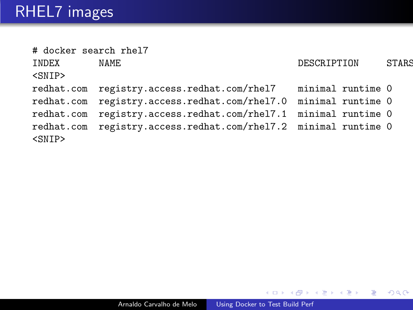| # docker search rhel7 |                                                                 |             |              |
|-----------------------|-----------------------------------------------------------------|-------------|--------------|
| INDEX                 | NAME                                                            | DESCRIPTION | <b>STARS</b> |
| <snip></snip>         |                                                                 |             |              |
|                       | redhat.com registry.access.redhat.com/rhel7 minimal runtime 0   |             |              |
|                       | redhat.com registry.access.redhat.com/rhel7.0 minimal runtime 0 |             |              |
| redhat.com            | registry.access.redhat.com/rhel7.1 minimal runtime 0            |             |              |
| <snip></snip>         | redhat.com registry.access.redhat.com/rhel7.2 minimal runtime 0 |             |              |
|                       |                                                                 |             |              |

**← ロ ▶ → イ 冊**  $\,$ 一く店  $\,$ 活  $\,$ ×.

Ε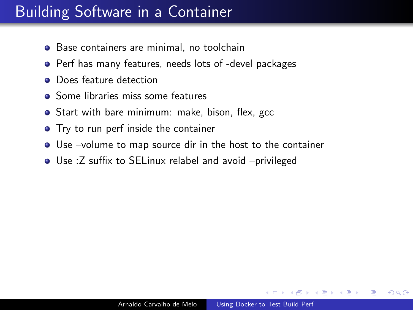## <span id="page-7-0"></span>Building Software in a Container

- **•** Base containers are minimal, no toolchain
- **•** Perf has many features, needs lots of -devel packages
- **•** Does feature detection
- **Some libraries miss some features**
- **•** Start with bare minimum: make, bison, flex, gcc
- **•** Try to run perf inside the container
- Use –volume to map source dir in the host to the container
- Use :Z suffix to SELinux relabel and avoid –privileged

つくい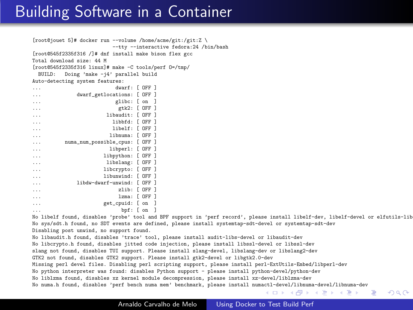### Building Software in a Container

```
[root@jouet 5]# docker run --volume /home/acme/git:/git:Z \
                          --tty --interactive fedora:24 /bin/bash
[root@545f2335f316 /]# dnf install make bison flex gcc
Total download size: 44 M
[root@545f2335f316 linux]# make -C tools/perf O=/tmp/
 BUILD: Doing 'make -j4' parallel build
Auto-detecting system features:
... dwarf: [ OFF ]
...<br>dwarf_getlocations: [ OFF ]<br>... glibc: [ on ]
```

|          | KTING' FAN I            |         |  |
|----------|-------------------------|---------|--|
| .        | gtk2: [ OFF ]           |         |  |
| .        | libaudit: [ OFF ]       |         |  |
| .        | libbfd: [ OFF ]         |         |  |
| .        | libelf:                 | r off 1 |  |
| $\cdots$ | libnuma:                | r off 1 |  |
| .        | numa_num_possible_cpus: | f OFF 1 |  |
| .        | libperl: [ OFF ]        |         |  |
| .        | libpython: [ OFF ]      |         |  |
| .        | libslang: [ OFF ]       |         |  |
| .        | libcrypto: [ OFF ]      |         |  |
| .        | libunwind:              | r off 1 |  |
| .        | libdw-dwarf-unwind:     | r off 1 |  |
| .        | $z$ lib:                | r off 1 |  |
| .        | lzma:                   | r off 1 |  |
| .        | get_cpuid:              | fon 1   |  |
|          | hnf ·                   | Γ ∩n    |  |

... bpf: [ on ] No libelf found, disables 'probe' tool and BPF support in 'perf record', please install libelf-dev, libelf-devel or elfutils-libelf-devel No sys/sdt.h found, no SDT events are defined, please install systemtap-sdt-devel or systemtap-sdt-dev Disabling post unwind, no support found.

No libaudit.h found, disables 'trace' tool, please install audit-libs-devel or libaudit-dev No libcrypto.h found, disables jitted code injection, please install libssl-devel or libssl-dev slang not found, disables TUI support. Please install slang-devel, libslang-dev or libslang2-dev GTK2 not found, disables GTK2 support. Please install gtk2-devel or libgtk2.0-dev Missing perl devel files. Disabling perl scripting support, please install perl-ExtUtils-Embed/libperl-dev No python interpreter was found: disables Python support - please install python-devel/python-dev No liblzma found, disables xz kernel module decompression, please install xz-devel/liblzma-dev No numa.h found, disables 'perf bench numa mem' benchmark, please install num[actl](#page-7-0)-d[evel/libnuma-devel/libnuma-dev](#page-0-0)<br> $\iff$   $\iff$   $\Rightarrow$   $\Rightarrow$   $\Rightarrow$   $\Rightarrow$ 

 $\Omega$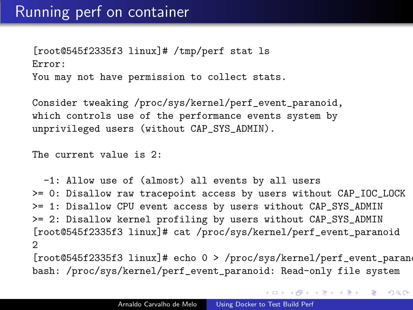[root@545f2335f3 linux]# /tmp/perf stat ls Error: You may not have permission to collect stats.

Consider tweaking /proc/sys/kernel/perf\_event\_paranoid, which controls use of the performance events system by unprivileged users (without CAP\_SYS\_ADMIN).

The current value is 2:

-1: Allow use of (almost) all events by all users >= 0: Disallow raw tracepoint access by users without CAP\_IOC\_LOCK >= 1: Disallow CPU event access by users without CAP\_SYS\_ADMIN >= 2: Disallow kernel profiling by users without CAP\_SYS\_ADMIN [root@545f2335f3 linux]# cat /proc/sys/kernel/perf\_event\_paranoid 2

 $[root@545f2335f3 \text{ } Linux]$ # echo 0 > /proc/sys/kernel/perf\_event\_parano bash: /proc/sys/kernel/perf\_event\_paranoid: Read-only file system

メロメ メ都 メメ きょく ミメー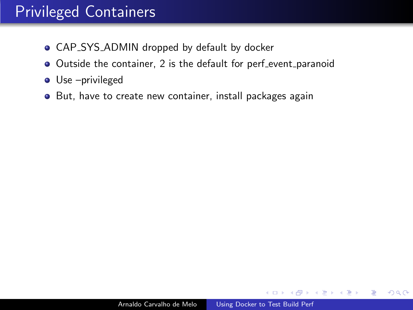## Privileged Containers

- **CAP\_SYS\_ADMIN** dropped by default by docker
- Outside the container, 2 is the default for perf\_event\_paranoid
- Use –privileged
- **•** But, have to create new container, install packages again

化重 经间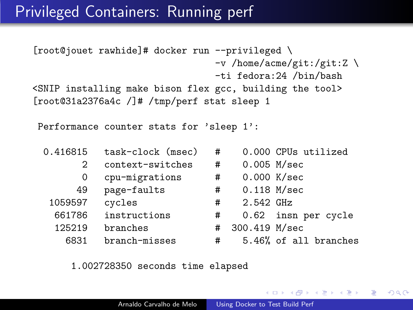#### Privileged Containers: Running perf

```
[root@jouet rawhide]# docker run --privileged \
                                 -v /home/acme/git:/git:Z \
                                 -ti fedora:24 /bin/bash
<SNIP installing make bison flex gcc, building the tool>
[root@31a2376a4c /]# /tmp/perf stat sleep 1
```
Performance counter stats for 'sleep 1':

| 0.416815 | task-clock (msec) | # |               | 0.000 CPUs utilized   |
|----------|-------------------|---|---------------|-----------------------|
| 2        | context-switches  | # | $0.005$ M/sec |                       |
| 0        | cpu-migrations    | # |               | 0.000 K/sec           |
| 49       | page-faults       | # | $0.118$ M/sec |                       |
| 1059597  | cycles            | # | 2.542 GHz     |                       |
| 661786   | instructions      | # |               | 0.62 insn per cycle   |
| 125219   | branches          | # | 300.419 M/sec |                       |
| 6831     | branch-misses     | # |               | 5.46% of all branches |

1.002728350 seconds time elapsed

 $2990$ 

AD > ( E > ( E > )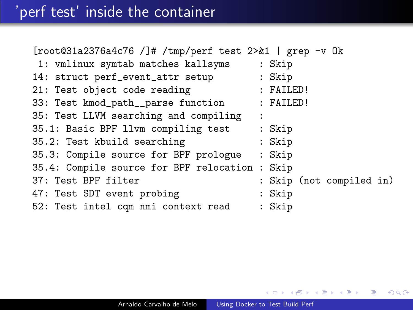| $[root@31a2376a4c76 / ]$ # /tmp/perf test 2>&1   grep -v Ok |                          |
|-------------------------------------------------------------|--------------------------|
| 1: vmlinux symtab matches kallsyms                          | : Skip                   |
| 14: struct perf_event_attr setup                            | : Skip                   |
| 21: Test object code reading                                | : FAILED!                |
| 33: Test kmod_path__parse function                          | : FAILED!                |
| 35: Test LLVM searching and compiling                       | $\ddot{\cdot}$           |
| 35.1: Basic BPF llvm compiling test                         | : Skip                   |
| 35.2: Test kbuild searching                                 | : Skip                   |
| 35.3: Compile source for BPF prologue                       | : Skip                   |
| 35.4: Compile source for BPF relocation :                   | Skip                     |
| 37: Test BPF filter                                         | : Skip (not compiled in) |
| 47: Test SDT event probing                                  | : Skip                   |
| 52: Test intel cqm nmi context read                         | : Skip                   |

Ε

∍ **B** 

 $\rightarrow$ 

κÞ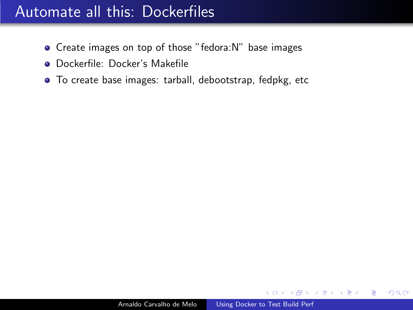## Automate all this: Dockerfiles

- Create images on top of those "fedora:N" base images
- Dockerfile: Docker's Makefile
- To create base images: tarball, debootstrap, fedpkg, etc

化重复 化重变

 $\Omega$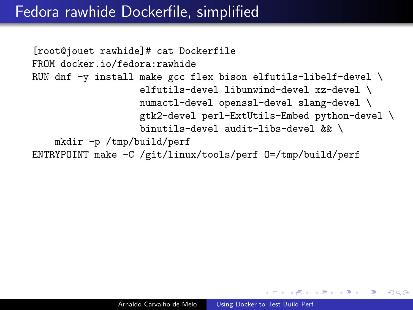## Fedora rawhide Dockerfile, simplified

```
[root@jouet rawhide]# cat Dockerfile
FROM docker.io/fedora:rawhide
RUN dnf -y install make gcc flex bison elfutils-libelf-devel \setminuselfutils-devel libunwind-devel xz-devel \
                   numactl-devel openssl-devel slang-devel \
                   gtk2-devel perl-ExtUtils-Embed python-devel \
                   binutils-devel audit-libs-devel && \
    mkdir -p /tmp/build/perf
ENTRYPOINT make -C /git/linux/tools/perf O=/tmp/build/perf
```
 $\mathbb{R}^n \times \mathbb{R}^n \xrightarrow{\mathbb{R}^n} \mathbb{R}^n \times \mathbb{R}^n \xrightarrow{\mathbb{R}^n} \mathbb{R}^n$ 

 $\Omega$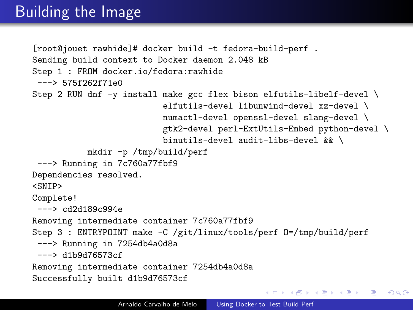## **Building the Image**

```
[root@jouet rawhide]# docker build -t fedora-build-perf .
Sending build context to Docker daemon 2.048 kB
Step 1 : FROM docker.io/fedora:rawhide
 ---> 575f262f71e0Step 2 RUN dnf -y install make gcc flex bison elfutils-libelf-devel \
                          elfutils-devel libunwind-devel xz-devel \
                          numactl-devel openssl-devel slang-devel \
                          gtk2-devel perl-ExtUtils-Embed python-devel \
                          binutils-devel audit-libs-devel && \
           mkdir -p /tmp/build/perf
 ---> Running in 7c760a77fbf9
Dependencies resolved.
<SNIP>
Complete!
 ---> cd2d189c994e
Removing intermediate container 7c760a77fbf9
Step 3 : ENTRYPOINT make -C /git/linux/tools/perf 0=/tmp/build/perf
 ---> Running in 7254db4a0d8a
 ---> d1b9d76573cf
Removing intermediate container 7254db4a0d8a
Successfully built d1b9d76573cf
```
イロメ イ母メ イヨメ イヨメーヨー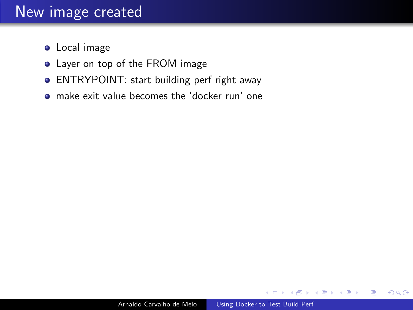#### New image created

- **•** Local image
- **•** Layer on top of the FROM image
- ENTRYPOINT: start building perf right away
- make exit value becomes the 'docker run' one

κÞ

つくへ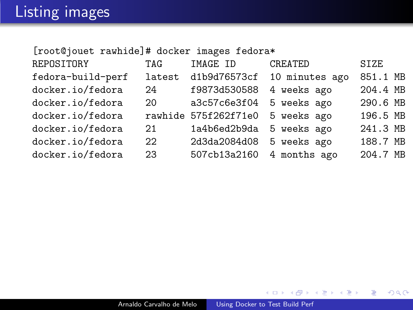[root@jouet rawhide]# docker images fedora\*

| REPOSITORY        | <b>TAG</b>  | IMAGE ID                         | CREATED                     | <b>SIZE</b> |
|-------------------|-------------|----------------------------------|-----------------------------|-------------|
| fedora-build-perf | latest      |                                  | d1b9d76573cf 10 minutes ago | 851.1 MB    |
| docker.io/fedora  | 24          | f9873d530588                     | 4 weeks ago                 | 204.4 MB    |
| docker.io/fedora  | 20 <b>m</b> | a3c57c6e3f04 5 weeks ago         |                             | 290.6 MB    |
| docker.io/fedora  |             | rawhide 575f262f71e0 5 weeks ago |                             | 196.5 MB    |
| docker.io/fedora  | 21          | 1a4b6ed2b9da 5 weeks ago         |                             | 241.3 MB    |
| docker.io/fedora  | $22 -$      | 2d3da2084d08 5 weeks ago         |                             | 188.7 MB    |
| docker.io/fedora  | 23          | 507cb13a2160 4 months ago        |                             | 204.7 MB    |

メロメ メ御 メメ きょく モメー

目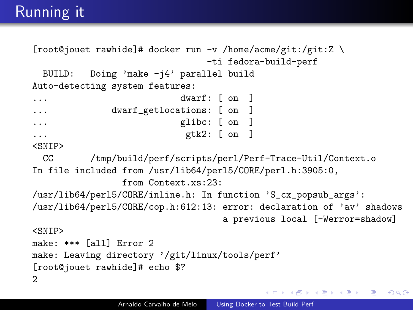## Running it

```
[root@jouet rawhide]# docker run -v /home/acme/git:/git:Z \
                             -ti fedora-build-perf
 BUILD: Doing 'make -j4' parallel build
Auto-detecting system features:
... dwarf: [ on ]
... dwarf_getlocations: [ on ]
... glibc: [ on ]
... gtk2: [ on ]
<SNIP>
 CC /tmp/build/perf/scripts/perl/Perf-Trace-Util/Context.o
In file included from /usr/lib64/perl5/CORE/perl.h:3905:0,
               from Context xs:23:
/usr/lib64/perl5/CORE/inline.h: In function 'S_cx_popsub_args':
/usr/lib64/perl5/CORE/cop.h:612:13: error: declaration of 'av' shadows
                                a previous local [-Werror=shadow]
<SNIP>
make: *** [all] Error 2
make: Leaving directory '/git/linux/tools/perf'
[root@jouet rawhide]# echo $?
2
```
イロト イ押 トイヨ トイヨ トーヨ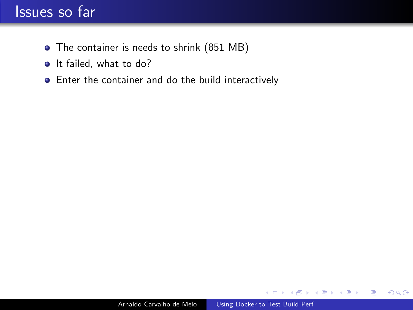## Issues so far

- The container is needs to shrink (851 MB)
- It failed, what to do?
- Enter the container and do the build interactively

 $\leftarrow$ 

a -b - 4 国 8 14 э  $299$ 

э

 $\rightarrow$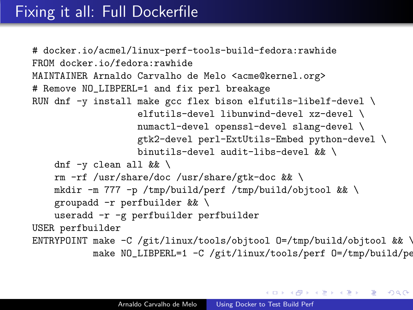## Fixing it all: Full Dockerfile

```
# docker.io/acmel/linux-perf-tools-build-fedora:rawhide
FROM docker.io/fedora:rawhide
MAINTAINER Arnaldo Carvalho de Melo <acme@kernel.org>
# Remove NO_LIBPERL=1 and fix perl breakage
RUN dnf -y install make gcc flex bison elfutils-libelf-devel \setminuselfutils-devel libunwind-devel xz-devel \
                   numactl-devel openssl-devel slang-devel \
                   gtk2-devel perl-ExtUtils-Embed python-devel \
                   binutils-devel audit-libs-devel && \
    dnf \neg clean all & \
    rm -rf /usr/share/doc /usr/share/gtk-doc && \
    mkdir -m 777 -p /tmp/build/perf /tmp/build/objtool && \
    groupadd -r perfbuilder && \
    useradd -r -g perfbuilder perfbuilder
USER perfbuilder
ENTRYPOINT make -C /git/linux/tools/objtool 0=/tmp/build/objtool && \
           make NO_LIBPERL=1 -C /git/linux/tools/perf 0=/tmp/build/pe
```
K ロ ▶ K @ ▶ K 글 ▶ K 글 ▶ │ 글 │ K 9 Q @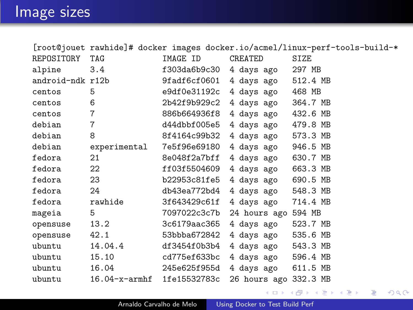|                  |                            |              |                       | [root@jouet rawhide]# docker images docker.io/acmel/linux-perf-tools-build-* |
|------------------|----------------------------|--------------|-----------------------|------------------------------------------------------------------------------|
| REPOSITORY       | TAG                        | IMAGE ID     | CREATED               | SIZE                                                                         |
| alpine           | 3.4                        | f303da6b9c30 | 4 days ago            | 297 MB                                                                       |
| android-ndk r12b |                            | 9fadf6cf0601 | 4 days ago            | 512.4 MB                                                                     |
| centos           | 5                          | e9df0e31192c | 4 days ago 468 MB     |                                                                              |
| centos           | 6                          | 2b42f9b929c2 | 4 days ago 364.7 MB   |                                                                              |
| centos           | $\overline{7}$             | 886b664936f8 | 4 days ago 432.6 MB   |                                                                              |
| debian           | $\overline{7}$             | d44dbbf005e5 | 4 days ago 479.8 MB   |                                                                              |
| debian           | 8                          | 8f4164c99b32 | 4 days ago 573.3 MB   |                                                                              |
| debian           | experimental               | 7e5f96e69180 | 4 days ago            | 946.5 MB                                                                     |
| fedora           | 21                         | 8e048f2a7bff | 4 days ago            | 630.7 MB                                                                     |
| fedora           | 22                         | ff03f5504609 | 4 days ago 663.3 MB   |                                                                              |
| fedora           | 23                         | b22953c81fe5 | 4 days ago 690.5 MB   |                                                                              |
| fedora           | 24                         | db43ea772bd4 | 4 days ago            | 548.3 MB                                                                     |
| fedora           | rawhide                    | 3f643429c61f | 4 days ago            | 714.4 MB                                                                     |
| mageia           | 5                          | 7097022c3c7b | 24 hours ago 594 MB   |                                                                              |
| opensuse         | 13.2                       | 3c6179aac365 | 4 days ago            | 523.7 MB                                                                     |
| opensuse         | 42.1                       | 53bbba672842 | 4 days ago            | 535.6 MB                                                                     |
| ubuntu           | 14.04.4                    | df3454f0b3b4 | 4 days ago 543.3 MB   |                                                                              |
| ubuntu           | 15.10                      | cd775ef633bc | 4 days ago 596.4 MB   |                                                                              |
| ubuntu           | 16.04                      | 245e625f955d | 4 days ago            | 611.5 MB                                                                     |
| ubuntu           | 16.04-x-armhf 1fe15532783c |              | 26 hours ago 332.3 MB |                                                                              |

イロト イ部 ト イ君 ト イ君 ト

目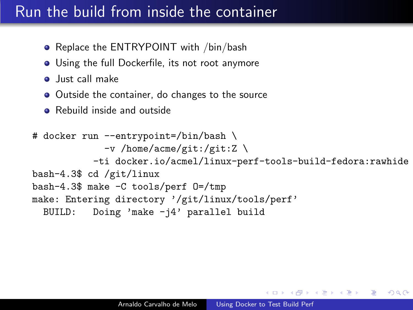## Run the build from inside the container

- Replace the ENTRYPOINT with /bin/bash
- Using the full Dockerfile, its not root anymore
- **o** Just call make
- Outside the container, do changes to the source
- **•** Rebuild inside and outside

```
# docker run --entrypoint=/bin/bash \
             -v /home/acme/git:/git:Z \
           -ti docker.io/acmel/linux-perf-tools-build-fedora:rawhide
bash-4.3$ cd /git/linux
bash-4.3$ make -C tools/perf O=/tmp
make: Entering directory '/git/linux/tools/perf'
  BUILD: Doing 'make -j4' parallel build
```
伊 ▶ イヨ ▶ イヨ ▶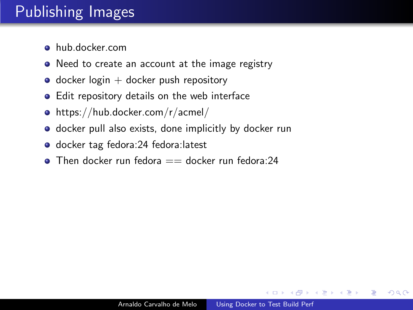# Publishing Images

- hub.docker.com
- Need to create an account at the image registry
- $\bullet$  docker login  $+$  docker push repository
- **•** Edit repository details on the web interface
- https://hub.docker.com/r/acmel/
- **o** docker pull also exists, done implicitly by docker run
- docker tag fedora:24 fedora:latest
- $\bullet$  Then docker run fedora  $==$  docker run fedora:24

つくへ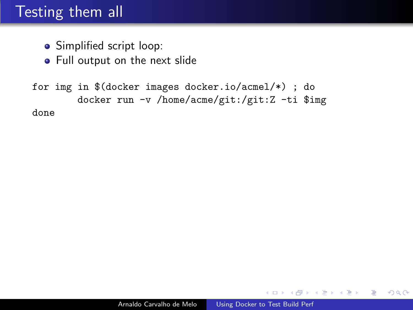## Testing them all

- Simplified script loop:
- **•** Full output on the next slide

for img in \$(docker images docker.io/acmel/\*) ; do docker run -v /home/acme/git:/git:Z -ti \$img done

 $299$ 

∢ 重 ≯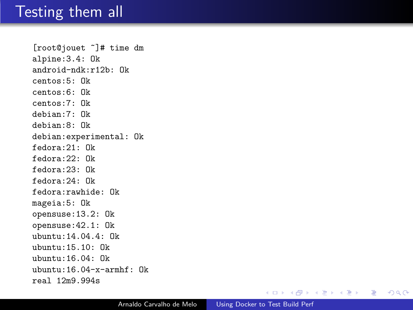#### Testing them all

[root@jouet ~]# time dm alpine:3.4: Ok android-ndk:r12b: Ok centos:5: Ok centos:6: Ok centos:7: Ok debian:7: Ok debian:8: Ok debian:experimental: Ok fedora:21: Ok fedora:22: Ok fedora:23: Ok fedora:24: Ok fedora:rawhide: Ok mageia:5: Ok opensuse:13.2: Ok opensuse:42.1: Ok ubuntu:14.04.4: Ok ubuntu:15.10: Ok ubuntu:16.04: Ok ubuntu:16.04-x-armhf: Ok real 12m9.994s

メロメ メ御 メメ きょくきょう

 $299$ 

目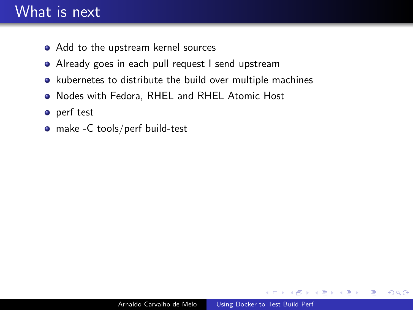## What is next

- Add to the upstream kernel sources
- Already goes in each pull request I send upstream
- kubernetes to distribute the build over multiple machines
- Nodes with Fedora, RHEL and RHEL Atomic Host
- **o** perf test
- make -C tools/perf build-test

 $\Omega$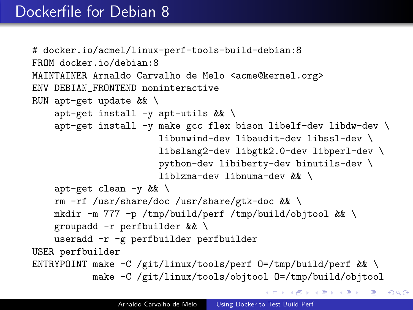```
# docker.io/acmel/linux-perf-tools-build-debian:8
FROM docker.io/debian:8
MAINTAINER Arnaldo Carvalho de Melo <acme@kernel.org>
ENV DEBIAN_FRONTEND noninteractive
RUN apt-get update && \
    apt-get install -y apt-utils \&&\ \apt-get install -y make gcc flex bison libelf-dev libdw-dev \
                       libunwind-dev libaudit-dev libssl-dev \
                       libslang2-dev libgtk2.0-dev libperl-dev \
                       python-dev libiberty-dev binutils-dev \
                       liblzma-dev libnuma-dev && \
    apt-get clean -y & \lambdarm -rf /usr/share/doc /usr/share/gtk-doc && \
    mkdir -m 777 -p /tmp/build/perf /tmp/build/objtool && \
    groupadd -r perfbuilder && \
    useradd -r -g perfbuilder perfbuilder
USER perfbuilder
ENTRYPOINT make -C /git/linux/tools/perf 0=/tmp/build/perf && \
           make -C /git/linux/tools/objtool O=/tmp/build/objtool
                                            K ロ > K @ → K 할 > K 할 > 1 할 → 9 Q Q*
```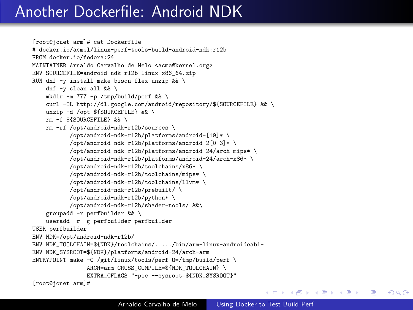## Another Dockerfile: Android NDK

```
[root@jouet arm]# cat Dockerfile
# docker.io/acmel/linux-perf-tools-build-android-ndk:r12b
FROM docker.io/fedora:24
MAINTAINER Arnaldo Carvalho de Melo <acme@kernel.org>
ENV SOURCEFILE=android-ndk-r12b-linux-x86_64.zip
RUN dnf -y install make bison flex unzip && \
    dnf -y clean all && \
    mkdir -m 777 -p /tmp/build/perf && \
    curl -OL http://dl.google.com/android/repository/${SOURCEFILE} && \
    unzip -d /opt ${SOURCEFILE} && \
    rm -f ${SOURCEFILE} && \
    rm -rf /opt/android-ndk-r12b/sources \
           /opt/android-ndk-r12b/platforms/android-[19]* \
           /opt/android-ndk-r12b/platforms/android-2[0-3]* \
           /opt/android-ndk-r12b/platforms/android-24/arch-mips* \
           /opt/android-ndk-r12b/platforms/android-24/arch-x86* \
           /opt/android-ndk-r12b/toolchains/x86* \
           /opt/android-ndk-r12b/toolchains/mips* \
           /opt/android-ndk-r12b/toolchains/llvm* \
           /opt/android-ndk-r12b/prebuilt/ \
           /opt/android-ndk-r12b/python* \
           /opt/android-ndk-r12b/shader-tools/ &&\
    groupadd -r perfbuilder && \
    useradd -r -g perfbuilder perfbuilder
USER perfbuilder
ENV NDK=/opt/android-ndk-r12b/
ENV NDK_TOOLCHAIN=${NDK}/toolchains/...../bin/arm-linux-androideabi-
ENV NDK_SYSROOT=${NDK}/platforms/android-24/arch-arm
ENTRYPOINT make -C /git/linux/tools/perf 0=/tmp/build/perf \
                ARCH=arm CROSS COMPILE=${NDK_TOOLCHAIN} \
                EXTRA_CFLAGS="-pie --sysroot=${NDK_SYSROOT}"
[root@jouet arm]#
```
メロメ メ母メ メラメ メラメー

重